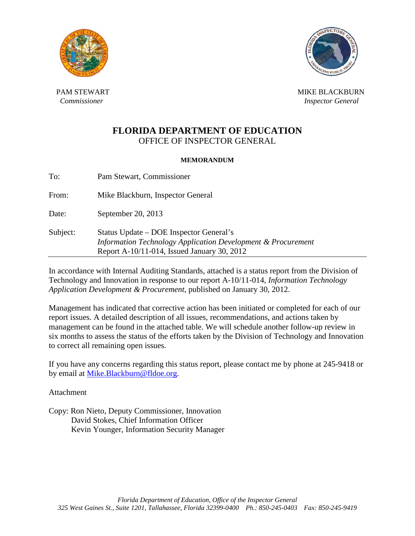



PAM STEWART NEWSLET AND RESERVE THE MIKE BLACKBURN MIKE BLACKBURN *Commissioner Inspector General <i>Inspector General* 

# **FLORIDA DEPARTMENT OF EDUCATION** OFFICE OF INSPECTOR GENERAL

### **MEMORANDUM**

To: Pam Stewart, Commissioner From: Mike Blackburn, Inspector General Date: September 20, 2013 Subject: Status Update – DOE Inspector General's  *Information Technology Application Development & Procurement*  Report A-10/11-014, Issued January 30, 2012

In accordance with Internal Auditing Standards, attached is a status report from the Division of Technology and Innovation in response to our report A-10/11-014, *Information Technology Application Development & Procurement*, published on January 30, 2012.

Management has indicated that corrective action has been initiated or completed for each of our report issues. A detailed description of all issues, recommendations, and actions taken by management can be found in the attached table. We will schedule another follow-up review in six months to assess the status of the efforts taken by the Division of Technology and Innovation to correct all remaining open issues.

If you have any concerns regarding this status report, please contact me by phone at 245-9418 or by email at [Mike.Blackburn@fldoe.org.](mailto:Mike.Blackburn@fldoe.org)

Attachment

Copy: Ron Nieto, Deputy Commissioner, Innovation David Stokes, Chief Information Officer Kevin Younger, Information Security Manager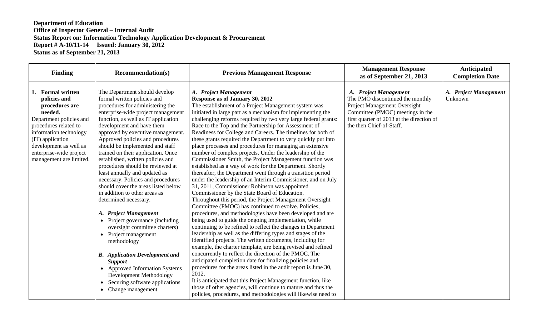| <b>Finding</b>                                                                                                                                                                                                                                   | <b>Recommendation(s)</b>                                                                                                                                                                                                                                                                                                                                                                                                                                                                                                                                                                                                                                                                                                                                                                                                                                                                                                                                                        | <b>Previous Management Response</b>                                                                                                                                                                                                                                                                                                                                                                                                                                                                                                                                                                                                                                                                                                                                                                                                                                                                                                                                                                                                                                                                                                                                                                                                                                                                                                                                                                                                                                                                                                                                                                                                                                                                                                                                                                                                  | <b>Management Response</b><br>as of September 21, 2013                                                                                                                                                 | Anticipated<br><b>Completion Date</b> |
|--------------------------------------------------------------------------------------------------------------------------------------------------------------------------------------------------------------------------------------------------|---------------------------------------------------------------------------------------------------------------------------------------------------------------------------------------------------------------------------------------------------------------------------------------------------------------------------------------------------------------------------------------------------------------------------------------------------------------------------------------------------------------------------------------------------------------------------------------------------------------------------------------------------------------------------------------------------------------------------------------------------------------------------------------------------------------------------------------------------------------------------------------------------------------------------------------------------------------------------------|--------------------------------------------------------------------------------------------------------------------------------------------------------------------------------------------------------------------------------------------------------------------------------------------------------------------------------------------------------------------------------------------------------------------------------------------------------------------------------------------------------------------------------------------------------------------------------------------------------------------------------------------------------------------------------------------------------------------------------------------------------------------------------------------------------------------------------------------------------------------------------------------------------------------------------------------------------------------------------------------------------------------------------------------------------------------------------------------------------------------------------------------------------------------------------------------------------------------------------------------------------------------------------------------------------------------------------------------------------------------------------------------------------------------------------------------------------------------------------------------------------------------------------------------------------------------------------------------------------------------------------------------------------------------------------------------------------------------------------------------------------------------------------------------------------------------------------------|--------------------------------------------------------------------------------------------------------------------------------------------------------------------------------------------------------|---------------------------------------|
| 1. Formal written<br>policies and<br>procedures are<br>needed.<br>Department policies and<br>procedures related to<br>information technology<br>(IT) application<br>development as well as<br>enterprise-wide project<br>management are limited. | The Department should develop<br>formal written policies and<br>procedures for administering the<br>enterprise-wide project management<br>function, as well as IT application<br>development and have them<br>approved by executive management.<br>Approved policies and procedures<br>should be implemented and staff<br>trained on their application. Once<br>established, written policies and<br>procedures should be reviewed at<br>least annually and updated as<br>necessary. Policies and procedures<br>should cover the areas listed below<br>in addition to other areas as<br>determined necessary.<br><b>Project Management</b><br>A.<br>Project governance (including<br>$\bullet$<br>oversight committee charters)<br>• Project management<br>methodology<br><b>B.</b> Application Development and<br><b>Support</b><br>• Approved Information Systems<br>Development Methodology<br>Securing software applications<br>$\bullet$<br>Change management<br>$\bullet$ | A. Project Management<br>Response as of January 30, 2012<br>The establishment of a Project Management system was<br>initiated in large part as a mechanism for implementing the<br>challenging reforms required by two very large federal grants:<br>Race to the Top and the Partnership for Assessment of<br>Readiness for College and Careers. The timelines for both of<br>these grants required the Department to very quickly put into<br>place processes and procedures for managing an extensive<br>number of complex projects. Under the leadership of the<br>Commissioner Smith, the Project Management function was<br>established as a way of work for the Department. Shortly<br>thereafter, the Department went through a transition period<br>under the leadership of an Interim Commissioner, and on July<br>31, 2011, Commissioner Robinson was appointed<br>Commissioner by the State Board of Education.<br>Throughout this period, the Project Management Oversight<br>Committee (PMOC) has continued to evolve. Policies,<br>procedures, and methodologies have been developed and are<br>being used to guide the ongoing implementation, while<br>continuing to be refined to reflect the changes in Department<br>leadership as well as the differing types and stages of the<br>identified projects. The written documents, including for<br>example, the charter template, are being revised and refined<br>concurrently to reflect the direction of the PMOC. The<br>anticipated completion date for finalizing policies and<br>procedures for the areas listed in the audit report is June 30,<br>2012.<br>It is anticipated that this Project Management function, like<br>those of other agencies, will continue to mature and thus the<br>policies, procedures, and methodologies will likewise need to | A. Project Management<br>The PMO discontinued the monthly<br>Project Management Oversight<br>Committee (PMOC) meetings in the<br>first quarter of 2013 at the direction of<br>the then Chief-of-Staff. | A. Project Management<br>Unknown      |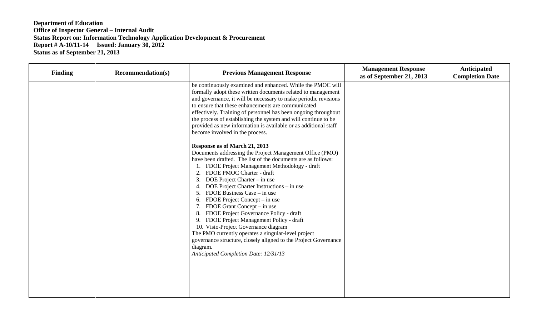| <b>Finding</b> | <b>Recommendation(s)</b> | <b>Previous Management Response</b>                                                                                                                                                                                                                                                                                                                                                                                                                                                                                                                                                                                                                                                                                                                                                                                                                                                                                                                                                                                                                                                                                                                                                                                                                               | <b>Management Response</b><br>as of September 21, 2013 | Anticipated<br><b>Completion Date</b> |
|----------------|--------------------------|-------------------------------------------------------------------------------------------------------------------------------------------------------------------------------------------------------------------------------------------------------------------------------------------------------------------------------------------------------------------------------------------------------------------------------------------------------------------------------------------------------------------------------------------------------------------------------------------------------------------------------------------------------------------------------------------------------------------------------------------------------------------------------------------------------------------------------------------------------------------------------------------------------------------------------------------------------------------------------------------------------------------------------------------------------------------------------------------------------------------------------------------------------------------------------------------------------------------------------------------------------------------|--------------------------------------------------------|---------------------------------------|
|                |                          | be continuously examined and enhanced. While the PMOC will<br>formally adopt these written documents related to management<br>and governance, it will be necessary to make periodic revisions<br>to ensure that these enhancements are communicated<br>effectively. Training of personnel has been ongoing throughout<br>the process of establishing the system and will continue to be<br>provided as new information is available or as additional staff<br>become involved in the process.<br>Response as of March 21, 2013<br>Documents addressing the Project Management Office (PMO)<br>have been drafted. The list of the documents are as follows:<br>1. FDOE Project Management Methodology - draft<br>FDOE PMOC Charter - draft<br>2.<br>3.<br>DOE Project Charter – in use<br>DOE Project Charter Instructions – in use<br>FDOE Business Case – in use<br>FDOE Project Concept – in use<br>6.<br>FDOE Grant Concept – in use<br>7.<br>FDOE Project Governance Policy - draft<br>8.<br>9. FDOE Project Management Policy - draft<br>10. Visio-Project Governance diagram<br>The PMO currently operates a singular-level project<br>governance structure, closely aligned to the Project Governance<br>diagram.<br>Anticipated Completion Date: 12/31/13 |                                                        |                                       |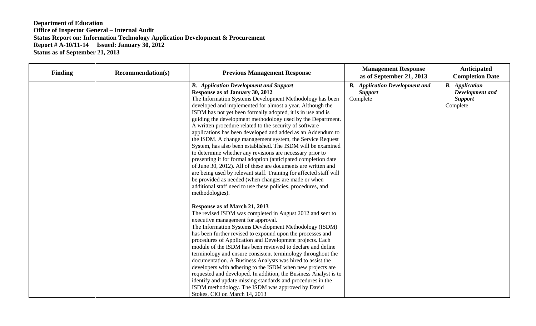| <b>Finding</b> | <b>Recommendation(s)</b> | <b>Previous Management Response</b>                                                                                                                                                                                                                                                                                                                                                                                                                                                                                                                                                                                                                                                                                                                                                                                                                                                                                                                                                                             | <b>Management Response</b><br>as of September 21, 2013              | Anticipated<br><b>Completion Date</b>                                  |
|----------------|--------------------------|-----------------------------------------------------------------------------------------------------------------------------------------------------------------------------------------------------------------------------------------------------------------------------------------------------------------------------------------------------------------------------------------------------------------------------------------------------------------------------------------------------------------------------------------------------------------------------------------------------------------------------------------------------------------------------------------------------------------------------------------------------------------------------------------------------------------------------------------------------------------------------------------------------------------------------------------------------------------------------------------------------------------|---------------------------------------------------------------------|------------------------------------------------------------------------|
|                |                          | <b>B.</b> Application Development and Support<br>Response as of January 30, 2012<br>The Information Systems Development Methodology has been<br>developed and implemented for almost a year. Although the<br>ISDM has not yet been formally adopted, it is in use and is<br>guiding the development methodology used by the Department.<br>A written procedure related to the security of software<br>applications has been developed and added as an Addendum to<br>the ISDM. A change management system, the Service Request<br>System, has also been established. The ISDM will be examined<br>to determine whether any revisions are necessary prior to<br>presenting it for formal adoption (anticipated completion date<br>of June 30, 2012). All of these are documents are written and<br>are being used by relevant staff. Training for affected staff will<br>be provided as needed (when changes are made or when<br>additional staff need to use these policies, procedures, and<br>methodologies). | <b>B.</b> Application Development and<br><b>Support</b><br>Complete | <b>B.</b> Application<br>Development and<br><b>Support</b><br>Complete |
|                |                          | Response as of March 21, 2013<br>The revised ISDM was completed in August 2012 and sent to<br>executive management for approval.<br>The Information Systems Development Methodology (ISDM)<br>has been further revised to expound upon the processes and<br>procedures of Application and Development projects. Each<br>module of the ISDM has been reviewed to declare and define<br>terminology and ensure consistent terminology throughout the<br>documentation. A Business Analysts was hired to assist the<br>developers with adhering to the ISDM when new projects are<br>requested and developed. In addition, the Business Analyst is to<br>identify and update missing standards and procedures in the<br>ISDM methodology. The ISDM was approved by David<br>Stokes, CIO on March 14, 2013                                                                                                                                                                                                          |                                                                     |                                                                        |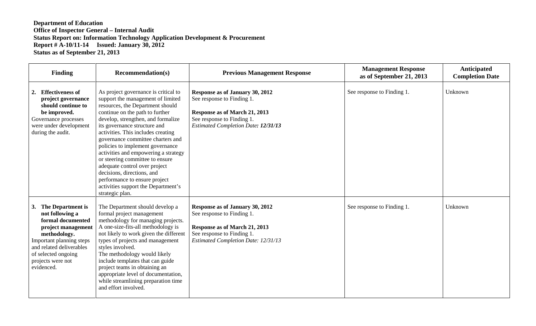| <b>Finding</b>                                                                                                                                                                                                       | <b>Recommendation(s)</b>                                                                                                                                                                                                                                                                                                                                                                                                                                                                                                                                                   | <b>Previous Management Response</b>                                                                                                                                        | <b>Management Response</b><br>as of September 21, 2013 | <b>Anticipated</b><br><b>Completion Date</b> |
|----------------------------------------------------------------------------------------------------------------------------------------------------------------------------------------------------------------------|----------------------------------------------------------------------------------------------------------------------------------------------------------------------------------------------------------------------------------------------------------------------------------------------------------------------------------------------------------------------------------------------------------------------------------------------------------------------------------------------------------------------------------------------------------------------------|----------------------------------------------------------------------------------------------------------------------------------------------------------------------------|--------------------------------------------------------|----------------------------------------------|
| 2. Effectiveness of<br>project governance<br>should continue to<br>be improved.<br>Governance processes<br>were under development<br>during the audit.                                                               | As project governance is critical to<br>support the management of limited<br>resources, the Department should<br>continue on the path to further<br>develop, strengthen, and formalize<br>its governance structure and<br>activities. This includes creating<br>governance committee charters and<br>policies to implement governance<br>activities and empowering a strategy<br>or steering committee to ensure<br>adequate control over project<br>decisions, directions, and<br>performance to ensure project<br>activities support the Department's<br>strategic plan. | Response as of January 30, 2012<br>See response to Finding 1.<br>Response as of March 21, 2013<br>See response to Finding 1.<br><b>Estimated Completion Date: 12/31/13</b> | See response to Finding 1.                             | Unknown                                      |
| 3. The Department is<br>not following a<br>formal documented<br>project management<br>methodology.<br>Important planning steps<br>and related deliverables<br>of selected ongoing<br>projects were not<br>evidenced. | The Department should develop a<br>formal project management<br>methodology for managing projects.<br>A one-size-fits-all methodology is<br>not likely to work given the different<br>types of projects and management<br>styles involved.<br>The methodology would likely<br>include templates that can guide<br>project teams in obtaining an<br>appropriate level of documentation,<br>while streamlining preparation time<br>and effort involved.                                                                                                                      | Response as of January 30, 2012<br>See response to Finding 1.<br>Response as of March 21, 2013<br>See response to Finding 1.<br><b>Estimated Completion Date: 12/31/13</b> | See response to Finding 1.                             | Unknown                                      |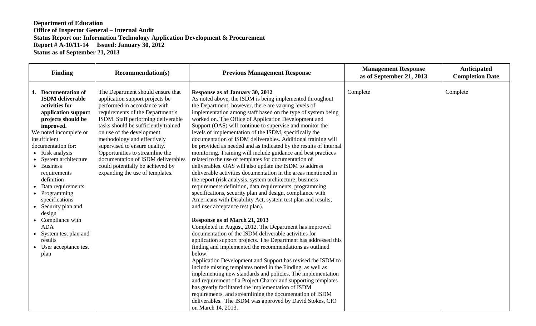| <b>Finding</b><br><b>Recommendation(s)</b>                                                                                                                                                                                                                                                                                                                                                                                                                                                                                                                                                                                                                                                                                                                                                                                                                                                                                                                     |                                                                                                               | <b>Previous Management Response</b>                                                                                                                                                                                                                                                                                                                                                                                                                                                                                                                                                                                                                                                                                                                                                                                                                                                                                                                                                                                                                                                                                                                                                                                                                                                                                                                                                                                                                      | <b>Management Response</b><br>as of September 21, 2013 | Anticipated<br><b>Completion Date</b> |
|----------------------------------------------------------------------------------------------------------------------------------------------------------------------------------------------------------------------------------------------------------------------------------------------------------------------------------------------------------------------------------------------------------------------------------------------------------------------------------------------------------------------------------------------------------------------------------------------------------------------------------------------------------------------------------------------------------------------------------------------------------------------------------------------------------------------------------------------------------------------------------------------------------------------------------------------------------------|---------------------------------------------------------------------------------------------------------------|----------------------------------------------------------------------------------------------------------------------------------------------------------------------------------------------------------------------------------------------------------------------------------------------------------------------------------------------------------------------------------------------------------------------------------------------------------------------------------------------------------------------------------------------------------------------------------------------------------------------------------------------------------------------------------------------------------------------------------------------------------------------------------------------------------------------------------------------------------------------------------------------------------------------------------------------------------------------------------------------------------------------------------------------------------------------------------------------------------------------------------------------------------------------------------------------------------------------------------------------------------------------------------------------------------------------------------------------------------------------------------------------------------------------------------------------------------|--------------------------------------------------------|---------------------------------------|
| 4. Documentation of<br>The Department should ensure that<br><b>ISDM</b> deliverable<br>application support projects be<br>performed in accordance with<br>activities for<br>requirements of the Department's<br>application support<br>ISDM. Staff performing deliverable<br>projects should be<br>tasks should be sufficiently trained<br>improved.<br>We noted incomplete or<br>on use of the development<br>methodology and effectively<br>insufficient<br>supervised to ensure quality.<br>documentation for:<br>Opportunities to streamline the<br>• Risk analysis<br>documentation of ISDM deliverables<br>• System architecture<br>could potentially be achieved by<br>• Business<br>expanding the use of templates.<br>requirements<br>definition<br>• Data requirements<br>• Programming<br>specifications<br>• Security plan and<br>design<br>• Compliance with<br><b>ADA</b><br>• System test plan and<br>results<br>• User acceptance test<br>plan | Response as of January 30, 2012<br>and user acceptance test plan).<br>Response as of March 21, 2013<br>below. | As noted above, the ISDM is being implemented throughout<br>the Department; however, there are varying levels of<br>implementation among staff based on the type of system being<br>worked on. The Office of Application Development and<br>Support (OAS) will continue to supervise and monitor the<br>levels of implementation of the ISDM, specifically the<br>documentation of ISDM deliverables. Additional training will<br>be provided as needed and as indicated by the results of internal<br>monitoring. Training will include guidance and best practices<br>related to the use of templates for documentation of<br>deliverables. OAS will also update the ISDM to address<br>deliverable activities documentation in the areas mentioned in<br>the report (risk analysis, system architecture, business<br>requirements definition, data requirements, programming<br>specifications, security plan and design, compliance with<br>Americans with Disability Act, system test plan and results,<br>Completed in August, 2012. The Department has improved<br>documentation of the ISDM deliverable activities for<br>application support projects. The Department has addressed this<br>finding and implemented the recommendations as outlined<br>Application Development and Support has revised the ISDM to<br>include missing templates noted in the Finding, as well as<br>implementing new standards and policies. The implementation | Complete                                               | Complete                              |
|                                                                                                                                                                                                                                                                                                                                                                                                                                                                                                                                                                                                                                                                                                                                                                                                                                                                                                                                                                | on March 14, 2013.                                                                                            | and requirement of a Project Charter and supporting templates<br>has greatly facilitated the implementation of ISDM<br>requirements, and streamlining the documentation of ISDM<br>deliverables. The ISDM was approved by David Stokes, CIO                                                                                                                                                                                                                                                                                                                                                                                                                                                                                                                                                                                                                                                                                                                                                                                                                                                                                                                                                                                                                                                                                                                                                                                                              |                                                        |                                       |